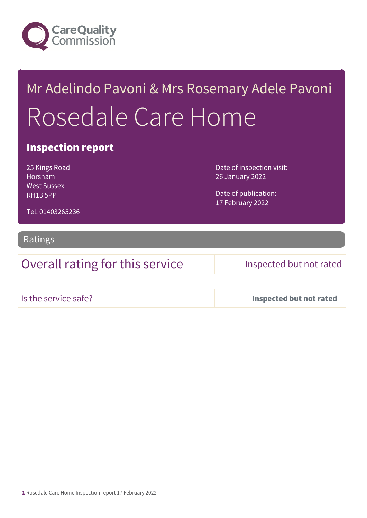

# Mr Adelindo Pavoni & Mrs Rosemary Adele Pavoni Rosedale Care Home

### Inspection report

25 Kings Road Horsham West Sussex RH13 5PP

Date of inspection visit: 26 January 2022

Date of publication: 17 February 2022

Tel: 01403265236

### Ratings

Overall rating for this service Inspected but not rated

Is the service safe? Inspected but not rated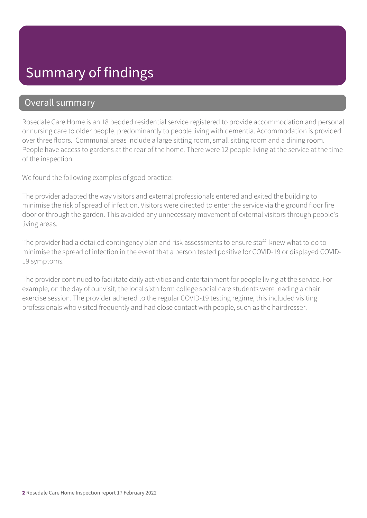# Summary of findings

### Overall summary

Rosedale Care Home is an 18 bedded residential service registered to provide accommodation and personal or nursing care to older people, predominantly to people living with dementia. Accommodation is provided over three floors. Communal areas include a large sitting room, small sitting room and a dining room. People have access to gardens at the rear of the home. There were 12 people living at the service at the time of the inspection.

We found the following examples of good practice:

The provider adapted the way visitors and external professionals entered and exited the building to minimise the risk of spread of infection. Visitors were directed to enter the service via the ground floor fire door or through the garden. This avoided any unnecessary movement of external visitors through people's living areas.

The provider had a detailed contingency plan and risk assessments to ensure staff knew what to do to minimise the spread of infection in the event that a person tested positive for COVID-19 or displayed COVID-19 symptoms.

The provider continued to facilitate daily activities and entertainment for people living at the service. For example, on the day of our visit, the local sixth form college social care students were leading a chair exercise session. The provider adhered to the regular COVID-19 testing regime, this included visiting professionals who visited frequently and had close contact with people, such as the hairdresser.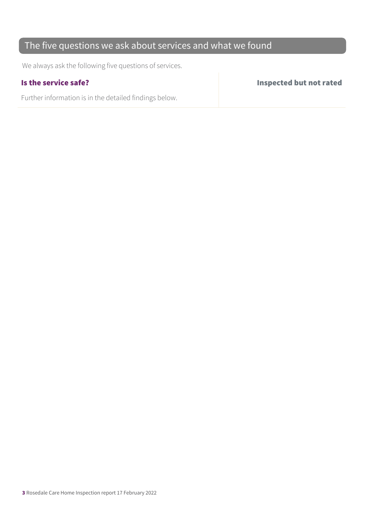### The five questions we ask about services and what we found

We always ask the following five questions of services.

Further information is in the detailed findings below.

Is the service safe? Inspected but not rated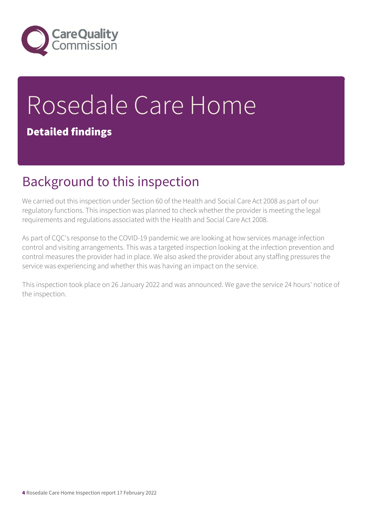

# Rosedale Care Home

### Detailed findings

# Background to this inspection

We carried out this inspection under Section 60 of the Health and Social Care Act 2008 as part of our regulatory functions. This inspection was planned to check whether the provider is meeting the legal requirements and regulations associated with the Health and Social Care Act 2008.

As part of CQC's response to the COVID-19 pandemic we are looking at how services manage infection control and visiting arrangements. This was a targeted inspection looking at the infection prevention and control measures the provider had in place. We also asked the provider about any staffing pressures the service was experiencing and whether this was having an impact on the service.

This inspection took place on 26 January 2022 and was announced. We gave the service 24 hours' notice of the inspection.